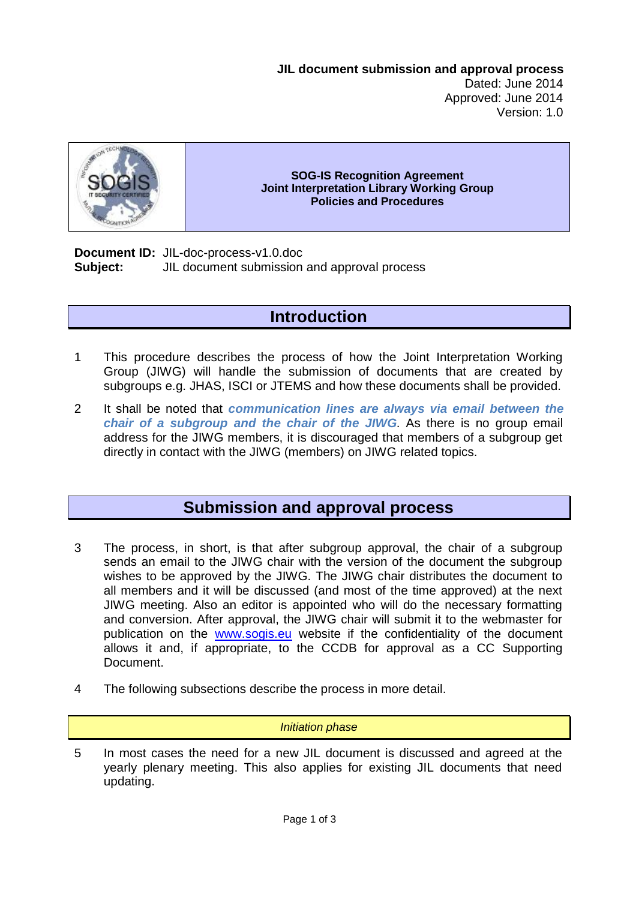

#### **SOG-IS Recognition Agreement Joint Interpretation Library Working Group Policies and Procedures**

**Document ID:** JIL-doc-process-v1.0.doc **Subject:** JIL document submission and approval process

# **Introduction**

- 1 This procedure describes the process of how the Joint Interpretation Working Group (JIWG) will handle the submission of documents that are created by subgroups e.g. JHAS, ISCI or JTEMS and how these documents shall be provided.
- 2 It shall be noted that *communication lines are always via email between the chair of a subgroup and the chair of the JIWG*. As there is no group email address for the JIWG members, it is discouraged that members of a subgroup get directly in contact with the JIWG (members) on JIWG related topics.

## **Submission and approval process**

- 3 The process, in short, is that after subgroup approval, the chair of a subgroup sends an email to the JIWG chair with the version of the document the subgroup wishes to be approved by the JIWG. The JIWG chair distributes the document to all members and it will be discussed (and most of the time approved) at the next JIWG meeting. Also an editor is appointed who will do the necessary formatting and conversion. After approval, the JIWG chair will submit it to the webmaster for publication on the [www.sogis.eu](http://www.sogis.eu) website if the confidentiality of the document allows it and, if appropriate, to the CCDB for approval as a CC Supporting **Document**
- 4 The following subsections describe the process in more detail.

## *Initiation phase*

5 In most cases the need for a new JIL document is discussed and agreed at the yearly plenary meeting. This also applies for existing JIL documents that need updating.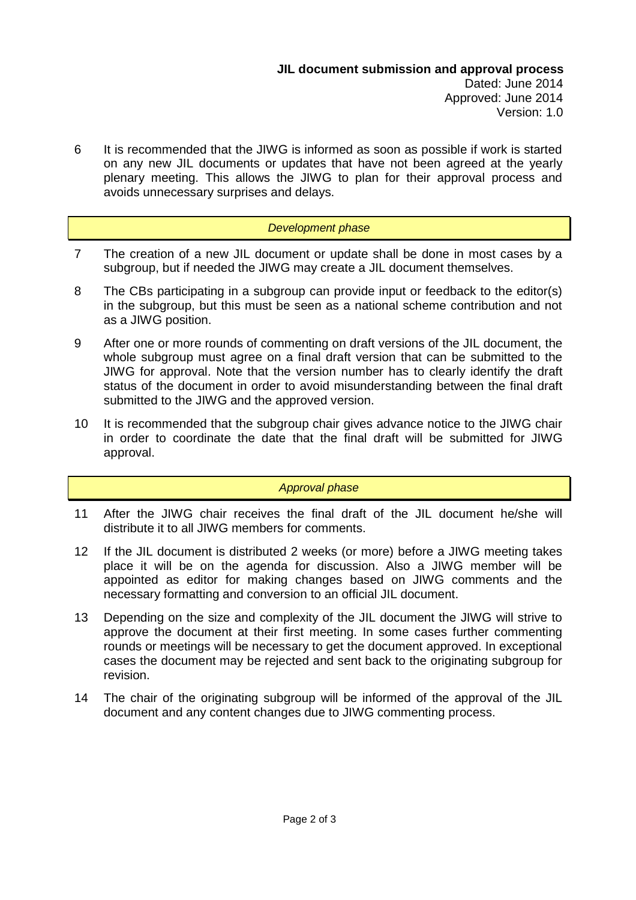6 It is recommended that the JIWG is informed as soon as possible if work is started on any new JIL documents or updates that have not been agreed at the yearly plenary meeting. This allows the JIWG to plan for their approval process and avoids unnecessary surprises and delays.

## *Development phase*

- 7 The creation of a new JIL document or update shall be done in most cases by a subgroup, but if needed the JIWG may create a JIL document themselves.
- 8 The CBs participating in a subgroup can provide input or feedback to the editor(s) in the subgroup, but this must be seen as a national scheme contribution and not as a JIWG position.
- 9 After one or more rounds of commenting on draft versions of the JIL document, the whole subgroup must agree on a final draft version that can be submitted to the JIWG for approval. Note that the version number has to clearly identify the draft status of the document in order to avoid misunderstanding between the final draft submitted to the JIWG and the approved version.
- 10 It is recommended that the subgroup chair gives advance notice to the JIWG chair in order to coordinate the date that the final draft will be submitted for JIWG approval.

## *Approval phase*

- 11 After the JIWG chair receives the final draft of the JIL document he/she will distribute it to all JIWG members for comments.
- 12 If the JIL document is distributed 2 weeks (or more) before a JIWG meeting takes place it will be on the agenda for discussion. Also a JIWG member will be appointed as editor for making changes based on JIWG comments and the necessary formatting and conversion to an official JIL document.
- 13 Depending on the size and complexity of the JIL document the JIWG will strive to approve the document at their first meeting. In some cases further commenting rounds or meetings will be necessary to get the document approved. In exceptional cases the document may be rejected and sent back to the originating subgroup for revision.
- 14 The chair of the originating subgroup will be informed of the approval of the JIL document and any content changes due to JIWG commenting process.